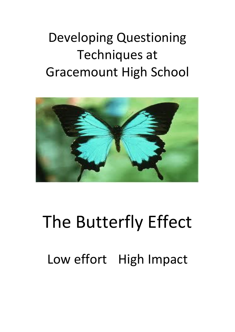### Developing Questioning Techniques at Gracemount High School



# The Butterfly Effect Low effort High Impact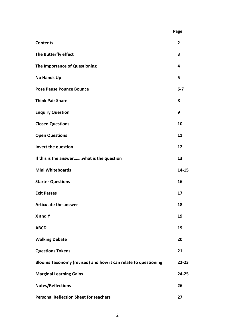|                                                                | Page    |
|----------------------------------------------------------------|---------|
| <b>Contents</b>                                                | 2       |
| The Butterfly effect                                           | 3       |
| The Importance of Questioning                                  | 4       |
| <b>No Hands Up</b>                                             | 5       |
| <b>Pose Pause Pounce Bounce</b>                                | $6 - 7$ |
| <b>Think Pair Share</b>                                        | 8       |
| <b>Enquiry Question</b>                                        | 9       |
| <b>Closed Questions</b>                                        | 10      |
| <b>Open Questions</b>                                          | 11      |
| Invert the question                                            | 12      |
| If this is the answerwhat is the question                      | 13      |
| <b>Mini Whiteboards</b>                                        | 14-15   |
| <b>Starter Questions</b>                                       | 16      |
| <b>Exit Passes</b>                                             | 17      |
| <b>Articulate the answer</b>                                   | 18      |
| X and Y                                                        | 19      |
| <b>ABCD</b>                                                    | 19      |
| <b>Walking Debate</b>                                          | 20      |
| <b>Questions Tokens</b>                                        | 21      |
| Blooms Taxonomy (revised) and how it can relate to questioning | 22-23   |
| <b>Marginal Learning Gains</b>                                 | 24-25   |
| <b>Notes/Reflections</b>                                       | 26      |
| <b>Personal Reflection Sheet for teachers</b>                  | 27      |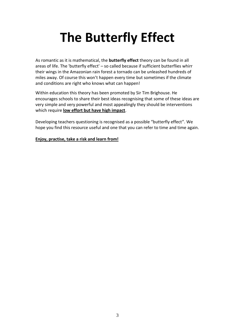### **The Butterfly Effect**

As romantic as it is mathematical, the **butterfly effect** theory can be found in all areas of life. The 'butterfly effect' – so called because if sufficient butterflies whirr their wings in the Amazonian rain forest a tornado can be unleashed hundreds of miles away. Of course this won't happen every time but sometimes if the climate and conditions are right who knows what can happen!

Within education this theory has been promoted by Sir Tim Brighouse. He encourages schools to share their best ideas recognising that some of these ideas are very simple and very powerful and most appealingly they should be interventions which require **low effort but have high impact**.

Developing teachers questioning is recognised as a possible "butterfly effect". We hope you find this resource useful and one that you can refer to time and time again.

#### **Enjoy, practise, take a risk and learn from!**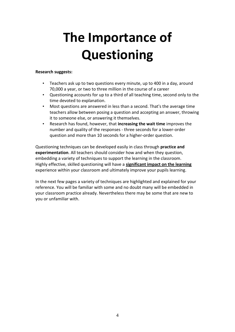### **The Importance of Questioning**

#### **Research suggests:**

- Teachers ask up to two questions every minute, up to 400 in a day, around 70,000 a year, or two to three million in the course of a career
- Questioning accounts for up to a third of all teaching time, second only to the time devoted to explanation.
- Most questions are answered in less than a second. That's the average time teachers allow between posing a question and accepting an answer, throwing it to someone else, or answering it themselves.
- Research has found, however, that **increasing the wait time** improves the number and quality of the responses - three seconds for a lower-order question and more than 10 seconds for a higher-order question.

Questioning techniques can be developed easily in class through **practice and experimentation**. All teachers should consider how and when they question, embedding a variety of techniques to support the learning in the classroom. Highly effective, skilled questioning will have a **significant impact on the learning** experience within your classroom and ultimately improve your pupils learning.

In the next few pages a variety of techniques are highlighted and explained for your reference. You will be familiar with some and no doubt many will be embedded in your classroom practice already. Nevertheless there may be some that are new to you or unfamiliar with.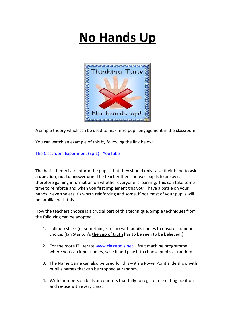### **No Hands Up**



A simple theory which can be used to maximize pupil engagement in the classroom.

You can watch an example of this by following the link below.

[The Classroom Experiment \(Ep.1\) -](https://www.youtube.com/watch?v=J25d9aC1GZA) YouTube

The basic theory is to inform the pupils that they should only raise their hand to **ask a question**, **not to answer one**. The teacher then chooses pupils to answer, therefore gaining information on whether everyone is learning. This can take some time to reinforce and when you first implement this you'll have a battle on your hands. Nevertheless it's worth reinforcing and some, if not most of your pupils will be familiar with this.

How the teachers choose is a crucial part of this technique. Simple techniques from the following can be adopted.

- 1. Lollipop sticks (or something similar) with pupils names to ensure a random choice. (Ian Stanton's **the cup of truth** has to be seen to be believed!)
- 2. For the more IT literate [www.classtools.net](http://www.classtools.net/) fruit machine programme where you can input names, save it and play it to choose pupils at random.
- 3. The Name Game can also be used for this it's a PowerPoint slide show with pupil's names that can be stopped at random.
- 4. Write numbers on balls or counters that tally to register or seating position and re-use with every class.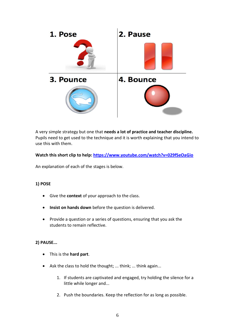

A very simple strategy but one that **needs a lot of practice and teacher discipline.**  Pupils need to get used to the technique and it is worth explaining that you intend to use this with them.

#### **Watch this short clip to help:<https://www.youtube.com/watch?v=029fSeOaGio>**

An explanation of each of the stages is below.

#### **1) POSE**

- Give the **context** of your approach to the class.
- **Insist on hands down** before the question is delivered.
- Provide a question or a series of questions, ensuring that you ask the students to remain reflective.

#### **2) PAUSE...**

- This is the **hard part**.
- Ask the class to hold the thought; ... think; ... think again...
	- 1. If students are captivated and engaged, try holding the silence for a little while longer and...
	- 2. Push the boundaries. Keep the reflection for as long as possible.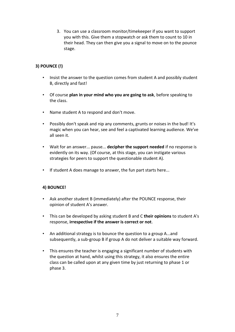3. You can use a classroom monitor/timekeeper if you want to support you with this. Give them a stopwatch or ask them to count to 10 in their head. They can then give you a signal to move on to the pounce stage.

#### **3) POUNCE (!)**

- Insist the answer to the question comes from student A and possibly student B, directly and fast!
- Of course **plan in your mind who you are going to ask**, before speaking to the class.
- Name student A to respond and don't move.
- Possibly don't speak and nip any comments, grunts or noises in the bud! It's magic when you can hear, see and feel a captivated learning audience. We've all seen it.
- Wait for an answer... pause... **decipher the support needed** if no response is evidently on its way. (Of course, at this stage, you can instigate various strategies for peers to support the questionable student A).
- If student A does manage to answer, the fun part starts here...

#### **4) BOUNCE!**

- Ask another student B (immediately) after the POUNCE response, their opinion of student A's answer.
- This can be developed by asking student B and C **their opinions** to student A's response, **irrespective if the answer is correct or not**.
- An additional strategy is to bounce the question to a group A...and subsequently, a sub-group B if group A do not deliver a suitable way forward.
- This ensures the teacher is engaging a significant number of students with the question at hand, whilst using this strategy, it also ensures the entire class can be called upon at any given time by just returning to phase 1 or phase 3.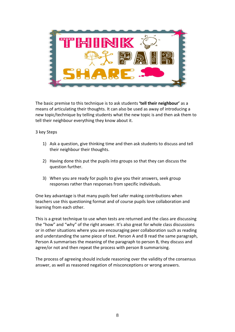

The basic premise to this technique is to ask students **'tell their neighbour'** as a means of articulating their thoughts. It can also be used as away of introducing a new topic/technique by telling students what the new topic is and then ask them to tell their neighbour everything they know about it.

3 key Steps

- 1) Ask a question, give thinking time and then ask students to discuss and tell their neighbour their thoughts.
- 2) Having done this put the pupils into groups so that they can discuss the question further.
- 3) When you are ready for pupils to give you their answers, seek group responses rather than responses from specific individuals.

One key advantage is that many pupils feel safer making contributions when teachers use this questioning format and of course pupils love collaboration and learning from each other.

This is a great technique to use when tests are returned and the class are discussing the "how" and "why" of the right answer. It's also great for whole class discussions or in other situations where you are encouraging peer collaboration such as reading and understanding the same piece of text. Person A and B read the same paragraph, Person A summarises the meaning of the paragraph to person B, they discuss and agree/or not and then repeat the process with person B summarising.

The process of agreeing should include reasoning over the validity of the consensus answer, as well as reasoned negation of misconceptions or wrong answers.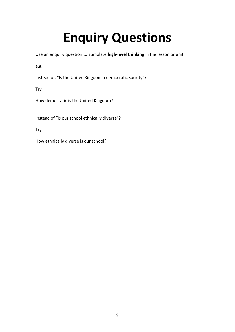### **Enquiry Questions**

Use an enquiry question to stimulate **high-level thinking** in the lesson or unit.

e.g.

Instead of, "Is the United Kingdom a democratic society"?

Try

How democratic is the United Kingdom?

Instead of "Is our school ethnically diverse"?

Try

How ethnically diverse is our school?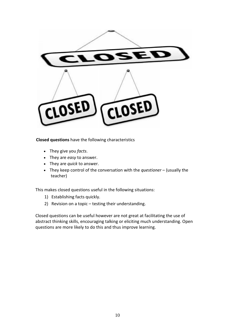

**Closed questions** have the following characteristics

- They give you *facts*.
- They are *easy* to answer.
- They are *quick* to answer.
- They keep control of the conversation with the *questioner* (usually the teacher)

This makes closed questions useful in the following situations:

- 1) Establishing facts quickly.
- 2) Revision on a topic testing their understanding.

Closed questions can be useful however are not great at facilitating the use of abstract thinking skills, encouraging talking or eliciting much understanding. Open questions are more likely to do this and thus improve learning.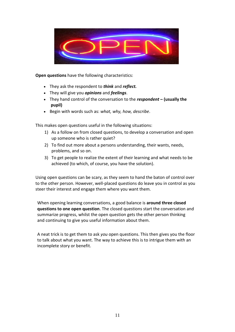

**Open questions** have the following characteristics:

- They ask the respondent to *think* and *reflect.*
- They will give you *opinions* and *feelings*.
- They hand control of the conversation to the *respondent* **– (usually the pupil)**
- Begin with words such as: *what, why, how, describe*.

This makes open questions useful in the following situations:

- 1) As a follow on from closed questions, to develop a conversation and open up someone who is rather quiet?
- 2) To find out more about a persons understanding, their wants, needs, problems, and so on.
- 3) To get people to realize the extent of their learning and what needs to be achieved (to which, of course, you have the solution).

Using open questions can be scary, as they seem to hand the baton of control over to the other person. However, well-placed questions do leave you in control as you steer their interest and engage them where you want them.

When opening learning conversations, a good balance is **around three closed questions to one open question**. The closed questions start the conversation and summarize progress, whilst the open question gets the other person thinking and continuing to give you useful information about them.

A neat trick is to get them to ask *you* open questions. This then gives you the floor to talk about what you want. The way to achieve this is to intrigue them with an incomplete story or benefit.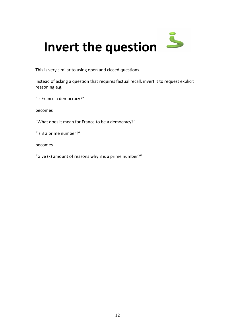

This is very similar to using open and closed questions.

Instead of asking a question that requires factual recall, invert it to request explicit reasoning e.g.

"Is France a democracy?"

becomes

"What does it mean for France to be a democracy?"

"Is 3 a prime number?"

becomes

"Give (x) amount of reasons why 3 is a prime number?"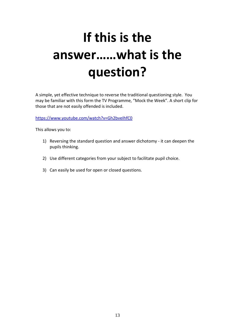## **If this is the answer……what is the question?**

A simple, yet effective technique to reverse the traditional questioning style. You may be familiar with this form the TV Programme, "Mock the Week". A short clip for those that are not easily offended is included.

<https://www.youtube.com/watch?v=Gh2bveIhfC0>

This allows you to:

- 1) Reversing the standard question and answer dichotomy it can deepen the pupils thinking.
- 2) Use different categories from your subject to facilitate pupil choice.
- 3) Can easily be used for open or closed questions.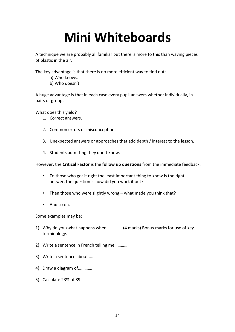### **Mini Whiteboards**

A technique we are probably all familiar but there is more to this than waving pieces of plastic in the air.

The key advantage is that there is no more efficient way to find out:

- a) Who knows.
- b) Who doesn't.

A huge advantage is that in each case every pupil answers whether individually, in pairs or groups.

What does this yield?

- 1. Correct answers.
- 2. Common errors or misconceptions.
- 3. Unexpected answers or approaches that add depth / interest to the lesson.
- 4. Students admitting they don't know.

However, the **Critical Factor** is the **follow up questions** from the immediate feedback.

- To those who got it right the least important thing to know is the right answer, the question is how did you work it out?
- Then those who were slightly wrong what made you think that?
- And so on.

Some examples may be:

- 1) Why do you/what happens when………….. (4 marks) Bonus marks for use of key terminology.
- 2) Write a sentence in French telling me………….
- 3) Write a sentence about …..
- 4) Draw a diagram of………….
- 5) Calculate 23% of 89.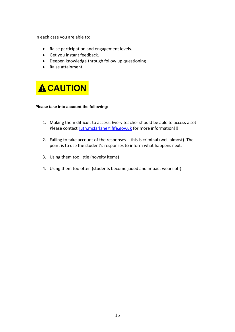In each case you are able to:

- Raise participation and engagement levels.
- Get you instant feedback.
- Deepen knowledge through follow up questioning
- Raise attainment.



#### **Please take into account the following:**

- 1. Making them difficult to access. Every teacher should be able to access a set! Please contact [ruth.mcfarlane@fife.gov.uk](mailto:ruth.mcfarlane@fife.gov.uk) for more information!!!
- 2. Failing to take account of the responses this is criminal (well almost). The point is to use the student's responses to inform what happens next.
- 3. Using them too little (novelty items)
- 4. Using them too often (students become jaded and impact wears off).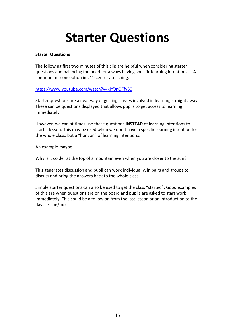### **Starter Questions**

#### **Starter Questions**

The following first two minutes of this clip are helpful when considering starter questions and balancing the need for always having specific learning intentions. – A common misconception in 21<sup>st</sup> century teaching.

#### <https://www.youtube.com/watch?v=kPf0nQFfv50>

Starter questions are a neat way of getting classes involved in learning straight away. These can be questions displayed that allows pupils to get access to learning immediately.

However, we can at times use these questions **INSTEAD** of learning intentions to start a lesson. This may be used when we don't have a specific learning intention for the whole class, but a "horizon" of learning intentions.

An example maybe:

Why is it colder at the top of a mountain even when you are closer to the sun?

This generates discussion and pupil can work individually, in pairs and groups to discuss and bring the answers back to the whole class.

Simple starter questions can also be used to get the class "started". Good examples of this are when questions are on the board and pupils are asked to start work immediately. This could be a follow on from the last lesson or an introduction to the days lesson/focus.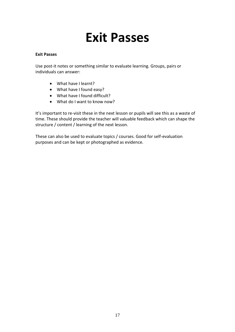### **Exit Passes**

#### **Exit Passes**

Use post-it notes or something similar to evaluate learning. Groups, pairs or individuals can answer:

- What have I learnt?
- What have I found easy?
- What have I found difficult?
- What do I want to know now?

It's important to re-visit these in the next lesson or pupils will see this as a waste of time. These should provide the teacher will valuable feedback which can shape the structure / content / learning of the next lesson.

These can also be used to evaluate topics / courses. Good for self-evaluation purposes and can be kept or photographed as evidence.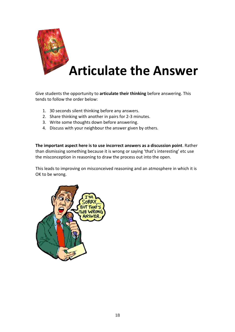

Give students the opportunity to **articulate their thinking** before answering. This tends to follow the order below:

- 1. 30 seconds silent thinking before any answers.
- 2. Share thinking with another in pairs for 2-3 minutes.
- 3. Write some thoughts down before answering.
- 4. Discuss with your neighbour the answer given by others.

**The important aspect here is to use incorrect answers as a discussion point**. Rather than dismissing something because it is wrong or saying 'that's interesting' etc use the misconception in reasoning to draw the process out into the open.

This leads to improving on misconceived reasoning and an atmosphere in which it is OK to be wrong.

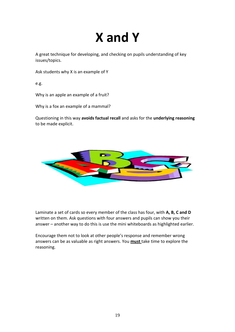### **X and Y**

A great technique for developing, and checking on pupils understanding of key issues/topics.

Ask students why X is an example of Y

e.g.

Why is an apple an example of a fruit?

Why is a fox an example of a mammal?

Questioning in this way **avoids factual recall** and asks for the **underlying reasoning** to be made explicit.



Laminate a set of cards so every member of the class has four, with **A, B, C and D** written on them. Ask questions with four answers and pupils can show you their answer – another way to do this is use the mini whiteboards as highlighted earlier.

Encourage them not to look at other people's response and remember wrong answers can be as valuable as right answers. You **must** take time to explore the reasoning.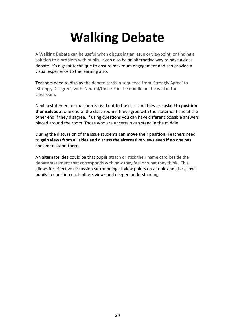### **Walking Debate**

A Walking Debate can be useful when discussing an issue or viewpoint, or finding a solution to a problem with pupils. It can also be an alternative way to have a class debate. It's a great technique to ensure maximum engagement and can provide a visual experience to the learning also.

Teachers need to display the debate cards in sequence from 'Strongly Agree' to 'Strongly Disagree', with 'Neutral/Unsure' in the middle on the wall of the classroom.

Next, a statement or question is read out to the class and they are asked to **position themselves** at one end of the class-room if they agree with the statement and at the other end if they disagree. If using questions you can have different possible answers placed around the room. Those who are uncertain can stand in the middle.

During the discussion of the issue students **can move their position**. Teachers need to **gain views from all sides and discuss the alternative views even if no one has chosen to stand there**.

An alternate idea could be that pupils attach or stick their name card beside the debate statement that corresponds with how they feel or what they think. This allows for effective discussion surrounding all view points on a topic and also allows pupils to question each others views and deepen understanding.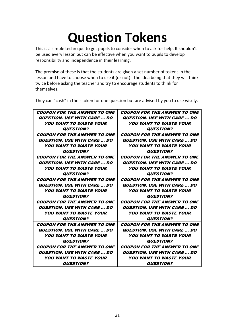### **Question Tokens**

This is a simple technique to get pupils to consider when to ask for help. It shouldn't be used every lesson but can be effective when you want to pupils to develop responsibility and independence in their learning.

The premise of these is that the students are given a set number of tokens in the lesson and have to choose when to use it (or not) - the idea being that they will think twice before asking the teacher and try to encourage students to think for themselves.

| <b>COUPON FOR THE ANSWER TO ONE</b>       | <b>COUPON FOR THE ANSWER TO ONE</b>       |
|-------------------------------------------|-------------------------------------------|
| <i><b>QUESTION. USE WITH CARE  DO</b></i> | <i><b>QUESTION. USE WITH CARE  DO</b></i> |
| <b>YOU WANT TO WASTE YOUR</b>             | <b>YOU WANT TO WASTE YOUR</b>             |
| <i><b>QUESTION?</b></i>                   | <i><b>QUESTION?</b></i>                   |
| <b>COUPON FOR THE ANSWER TO ONE</b>       | <b>COUPON FOR THE ANSWER TO ONE</b>       |
| <i><b>QUESTION. USE WITH CARE  DO</b></i> | <b>QUESTION. USE WITH CARE  DO</b>        |
| <b>YOU WANT TO WASTE YOUR</b>             | <b>YOU WANT TO WASTE YOUR</b>             |
| <i><b>QUESTION?</b></i>                   | <i><b>QUESTION?</b></i>                   |
| <i>COUPON FOR THE ANSWER TO ONE</i>       | <i>COUPON FOR THE ANSWER TO ONE</i>       |
| <i><b>QUESTION. USE WITH CARE  DO</b></i> | <i><b>QUESTION. USE WITH CARE  DO</b></i> |
| <b>YOU WANT TO WASTE YOUR</b>             | <b>YOU WANT TO WASTE YOUR</b>             |
| <b>QUESTION?</b>                          | <b>QUESTION?</b>                          |
| <b>COUPON FOR THE ANSWER TO ONE</b>       | <b>COUPON FOR THE ANSWER TO ONE</b>       |
| <i><b>QUESTION. USE WITH CARE  DO</b></i> | <i><b>QUESTION. USE WITH CARE  DO</b></i> |
| <b>YOU WANT TO WASTE YOUR</b>             | <b>YOU WANT TO WASTE YOUR</b>             |
| <i><b>QUESTION?</b></i>                   | <i><b>QUESTION?</b></i>                   |
| <b>COUPON FOR THE ANSWER TO ONE</b>       | <b>COUPON FOR THE ANSWER TO ONE</b>       |
| <i><b>QUESTION. USE WITH CARE  DO</b></i> | <b>QUESTION. USE WITH CARE  DO</b>        |
| <b>YOU WANT TO WASTE YOUR</b>             | <i>YOU WANT TO WASTE YOUR</i>             |
| <b>QUESTION?</b>                          | <b>QUESTION?</b>                          |
| <b>COUPON FOR THE ANSWER TO ONE</b>       | <b>COUPON FOR THE ANSWER TO ONE</b>       |
| <i><b>QUESTION. USE WITH CARE  DO</b></i> | <i><b>QUESTION. USE WITH CARE  DO</b></i> |
| <b>YOU WANT TO WASTE YOUR</b>             | <b>YOU WANT TO WASTE YOUR</b>             |
| <i><b>QUESTION?</b></i>                   | <b>QUESTION?</b>                          |
| <b>COUPON FOR THE ANSWER TO ONE</b>       | <b>COUPON FOR THE ANSWER TO ONE</b>       |
| <i>QUESTION. USE WITH CARE  DO</i>        | <i><b>QUESTION. USE WITH CARE  DO</b></i> |
| <b>YOU WANT TO WASTE YOUR</b>             | <i>YOU WANT TO WASTE YOUR</i>             |
| <b>QUESTION?</b>                          | <b>QUESTION?</b>                          |

They can "cash" in their token for one question but are advised by you to use wisely.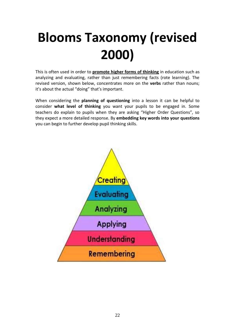## **Blooms Taxonomy (revised 2000)**

This is often used in order to **promote higher forms of thinking** in education such as analyzing and evaluating, rather than just remembering facts (rote learning). The revised version, shown below, concentrates more on the **verbs** rather than nouns; it's about the actual "doing" that's important.

When considering the **planning of questioning** into a lesson it can be helpful to consider **what level of thinking** you want your pupils to be engaged in. Some teachers do explain to pupils when they are asking "Higher Order Questions", so they expect a more detailed response. By **embedding key words into your questions** you can begin to further develop pupil thinking skills.

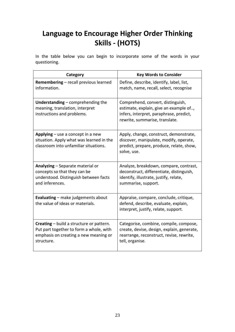### **Language to Encourage Higher Order Thinking Skills - (HOTS)**

In the table below you can begin to incorporate some of the words in your questioning.

| Category                                                                                                                                   | <b>Key Words to Consider</b>                                                                                                                             |
|--------------------------------------------------------------------------------------------------------------------------------------------|----------------------------------------------------------------------------------------------------------------------------------------------------------|
| Remembering - recall previous learned<br>information.                                                                                      | Define, describe, identify, label, list,<br>match, name, recall, select, recognise                                                                       |
| Understanding $-$ comprehending the<br>meaning, translation, interpret<br>instructions and problems.                                       | Comprehend, convert, distinguish,<br>estimate, explain, give an example of,<br>infers, interpret, paraphrase, predict,<br>rewrite, summarise, translate. |
| Applying $-$ use a concept in a new<br>situation. Apply what was learned in the<br>classroom into unfamiliar situations.                   | Apply, change, construct, demonstrate,<br>discover, manipulate, modify, operate,<br>predict, prepare, produce, relate, show,<br>solve, use.              |
| Analyzing - Separate material or<br>concepts so that they can be<br>understood. Distinguish between facts<br>and inferences.               | Analyze, breakdown, compare, contrast,<br>deconstruct, differentiate, distinguish,<br>identify, illustrate, justify, relate,<br>summarise, support.      |
| Evaluating - make judgements about<br>the value of ideas or materials.                                                                     | Appraise, compare, conclude, critique,<br>defend, describe, evaluate, explain,<br>interpret, justify, relate, support.                                   |
| Creating - build a structure or pattern.<br>Put part together to form a whole, with<br>emphasis on creating a new meaning or<br>structure. | Categorise, combine, compile, compose,<br>create, devise, design, explain, generate,<br>rearrange, reconstruct, revise, rewrite,<br>tell, organise.      |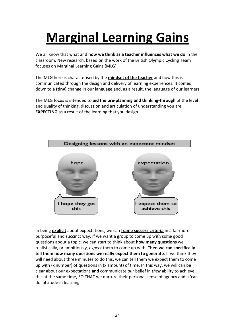## **Marginal Learning Gains**

We all know that what and **how we think as a teacher influences what we do** in the classroom. New research, based on the work of the British Olympic Cycling Team focuses on Marginal Learning Gains (MLG).

The MLG here is characterised by the **mindset of the teacher** and how this is communicated through the design and delivery of learning experiences. It comes down to a **(tiny)** change in our language and, as a result, the language of our learners.

The MLG focus is intended to **aid the pre-planning and thinking-through** of the level and quality of thinking, discussion and articulation of understanding you are **EXPECTING** as a result of the learning that you design.



In being **explicit** about expectations, we can **frame success criteria** in a far more purposeful and succinct way. If we want a group to come up with some good questions about a topic, we can start to think about **how many questions** we realistically, or ambitiously, *expect* them to come up with. **Then we can specifically tell them how many questions we really expect them to generate**. If we think they will need about three minutes to do this, we can tell them we expect them to come up with (x number) of questions in (x amount) of time. In this way, we will can be clear about our expectations **and** communicate *our* belief in *their* ability to achieve this at the same time, SO THAT we nurture their personal sense of agency and a 'can do' attitude in learning.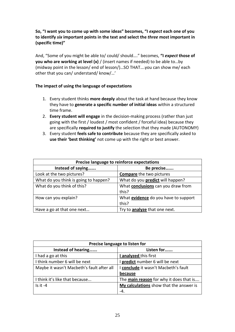#### **So, "I want you to come up with some ideas" becomes, "I** *expect* **each one of you to identify** *six* **important points in the text and select the** *three* **most important in (specific time)"**

And, "Some of you might be able to/ could/ should…." becomes, **"I** *expect* **those of you who are working at level (x)** / (insert names if needed) to be able to…by (midway point in the lesson/ end of lesson/)…SO THAT….you can show me/ each other that you can/ understand/ know/…'

#### **The impact of using the language of expectations**

- 1. Every student thinks **more deeply** about the task at hand because they know they have to **generate a specific number of initial ideas** within a structured time frame.
- 2. **Every student will engage** in the decision-making process (rather than just going with the first / loudest / most confident / forceful idea) because they are specifically **required to justify** the selection that they made (AUTONOMY)
- 3. Every student **feels safe to contribute** because they are specifically asked to **use their 'best thinking'** not come up with the right or best answer.

| Precise language to reinforce expectations |                                             |  |  |
|--------------------------------------------|---------------------------------------------|--|--|
| Instead of saying                          | Be precise                                  |  |  |
| Look at the two pictures?                  | <b>Compare</b> the two pictures             |  |  |
| What do you think is going to happen?      | What do you <b>predict</b> will happen?     |  |  |
| What do you think of this?                 | What <b>conclusions</b> can you draw from   |  |  |
|                                            | this?                                       |  |  |
| How can you explain?                       | What <b>evidence</b> do you have to support |  |  |
|                                            | this?                                       |  |  |
| Have a go at that one next                 | Try to <b>analyze</b> that one next.        |  |  |

| Precise language to listen for                                                    |                                         |  |  |
|-----------------------------------------------------------------------------------|-----------------------------------------|--|--|
| Instead of hearing                                                                | Listen for                              |  |  |
| I had a go at this                                                                | I analyzed this first                   |  |  |
| I think number 6 will be next                                                     | I predict number 6 will be next         |  |  |
| I conclude it wasn't Macbeth's fault<br>Maybe it wasn't Macbeth's fault after all |                                         |  |  |
|                                                                                   | because                                 |  |  |
| I think it's like that because                                                    | The main reason for why it does that is |  |  |
| $Is it -4$                                                                        | My calculations show that the answer is |  |  |
|                                                                                   | -4                                      |  |  |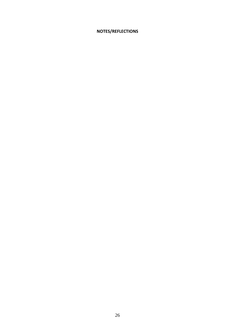#### **NOTES/REFLECTIONS**